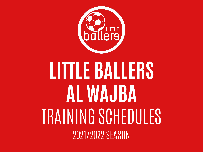

# **LITTLE BALLERS AL WAJBA** TRAINING SCHEDULES 2021/2022 SEASON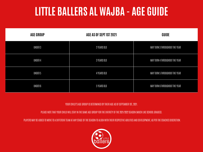### **LITTLE BALLERS AL WAJBA - AGE GUIDE**

| <b>AGE GROUP</b> | AGE AS OF SEPT 1ST 2021 | <b>GUIDE</b>                          |
|------------------|-------------------------|---------------------------------------|
| UNDER 3          | 2 YEARS OLD             | MAY TURN 3 THROUGHOUT THE YEAR        |
| UNDER 4          | 3 YEARS OLD             | <b>MAY TURN 4 THROUGHOUT THE YEAR</b> |
| <b>UNDER 5</b>   | 4 YEARS OLD             | <b>MAY TURN 5 THROUGHOUT THE YEAR</b> |
| UNDER 6          | 5 YEARS OLD             | MAY TURN 6 THROUGHOUT THE YEAR        |

#### YOUR CHILD'S AGE GROUP IS DETERMINED BY THEIR AGE AS OF SEPTEMBER 1ST, 2021.

PLEASE NOTE THAT YOUR CHILD WILL STAY IN THE SAME AGE GROUP FOR THE ENTIRETY OF THE 2021/2022 SEASON (MUCH LIKE SCHOOL GRADES).

PLAYERS MAY BE ASKED TO MOVE TO A DIFFERENT TEAM AT ANY STAGE OF THE SEASON TO ALIGN WITH THEIR RESPECTIVE ABILITIES AND DEVELOPMENT, AS PER THE COACHES DISCRETION.

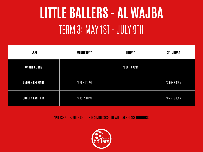## **LITTLE BALLERS - AL WAJBA** TERM 3: MAY 1ST - JULY 9TH

| <b>TEAM</b>             | WEDNESDAY         | <b>FRIDAY</b>     | <b>SATURDAY</b>   |
|-------------------------|-------------------|-------------------|-------------------|
| <b>UNDER 3 LIONS</b>    |                   | $*8.00 - 8.30$ AM |                   |
| <b>UNDER 4 CHEETAHS</b> | $*3.30 - 4.15$ PM |                   | $*8.00 - 8.45AM$  |
| <b>UNDER 4 PANTHERS</b> | $*4.15 - 5.00$ PM |                   | $*8.45 - 9.30$ AM |

\*PLEASE NOTE; YOUR CHILD'S TRAINING SESSION WILL TAKE PLACE **INDOORS**.